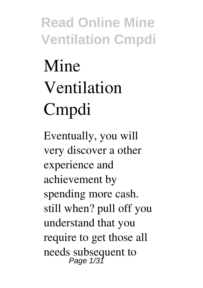# **Mine Ventilation Cmpdi**

Eventually, you will very discover a other experience and achievement by spending more cash. still when? pull off you understand that you require to get those all needs subsequent to<br>Page 1/31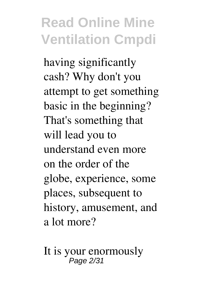having significantly cash? Why don't you attempt to get something basic in the beginning? That's something that will lead you to understand even more on the order of the globe, experience, some places, subsequent to history, amusement, and a lot more?

It is your enormously Page 2/31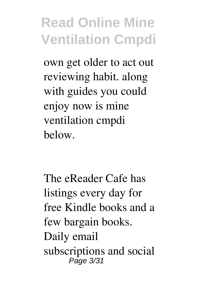own get older to act out reviewing habit. along with guides you could enjoy now is **mine ventilation cmpdi** below.

The eReader Cafe has listings every day for free Kindle books and a few bargain books. Daily email subscriptions and social Page 3/31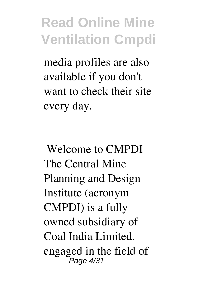media profiles are also available if you don't want to check their site every day.

**Welcome to CMPDI** The Central Mine Planning and Design Institute (acronym CMPDI) is a fully owned subsidiary of Coal India Limited, engaged in the field of Page 4/31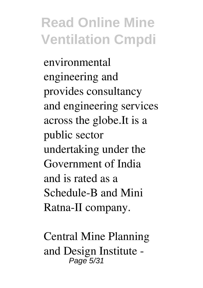environmental engineering and provides consultancy and engineering services across the globe.It is a public sector undertaking under the Government of India and is rated as a Schedule-B and Mini Ratna-II company.

**Central Mine Planning and Design Institute -** Page 5/31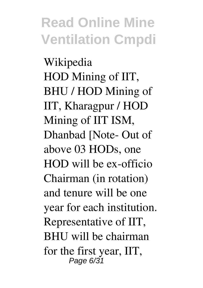**Wikipedia** HOD Mining of IIT, BHU / HOD Mining of IIT, Kharagpur / HOD Mining of IIT ISM, Dhanbad [Note- Out of above 03 HODs, one HOD will be ex-officio Chairman (in rotation) and tenure will be one year for each institution. Representative of IIT, BHU will be chairman for the first year, IIT, Page 6/31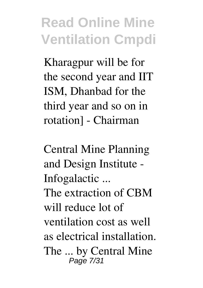Kharagpur will be for the second year and IIT ISM, Dhanbad for the third year and so on in rotation] - Chairman

**Central Mine Planning and Design Institute - Infogalactic ...** The extraction of CBM will reduce lot of ventilation cost as well as electrical installation. The ... by Central Mine Page 7/31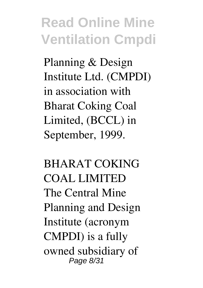Planning & Design Institute Ltd. (CMPDI) in association with Bharat Coking Coal Limited, (BCCL) in September, 1999.

**BHARAT COKING COAL LIMITED** The Central Mine Planning and Design Institute (acronym CMPDI) is a fully owned subsidiary of Page 8/31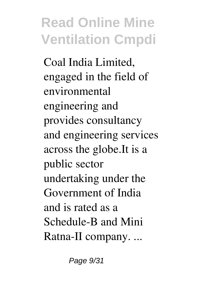Coal India Limited, engaged in the field of environmental engineering and provides consultancy and engineering services across the globe.It is a public sector undertaking under the Government of India and is rated as a Schedule-B and Mini Ratna-II company. ...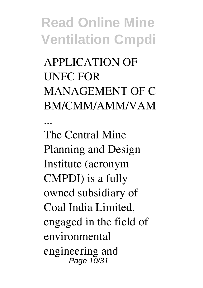**APPLICATION OF UNFC FOR MANAGEMENT OF C BM/CMM/AMM/VAM**

**...**

The Central Mine Planning and Design Institute (acronym CMPDI) is a fully owned subsidiary of Coal India Limited, engaged in the field of environmental engineering and Page 10/31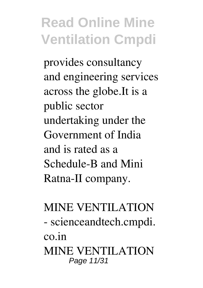provides consultancy and engineering services across the globe.It is a public sector undertaking under the Government of India and is rated as a Schedule-B and Mini Ratna-II company.

#### **MINE VENTILATION - scienceandtech.cmpdi. co.in** MINE VENTILATION Page 11/31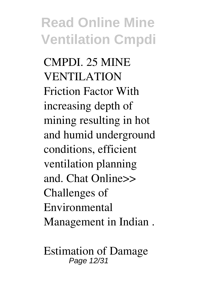CMPDI. 25 MINE VENTILATION Friction Factor With increasing depth of mining resulting in hot and humid underground conditions, efficient ventilation planning and. Chat Online>> Challenges of Environmental Management in Indian .

**Estimation of Damage** Page 12/31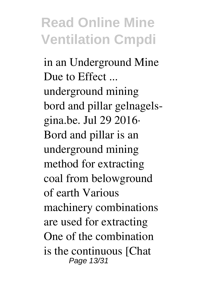**in an Underground Mine Due to Effect ...** underground mining bord and pillar gelnagelsgina.be. Jul 29 2016· Bord and pillar is an underground mining method for extracting coal from belowground of earth Various machinery combinations are used for extracting One of the combination is the continuous [Chat Page 13/31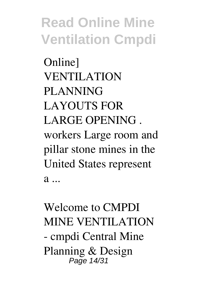Online] VENTILATION PLANNING LAYOUTS FOR LARGE OPENING . workers Large room and pillar stone mines in the United States represent  $a \ldots$ 

**Welcome to CMPDI** MINE VENTILATION - cmpdi Central Mine Planning & Design Page 14/31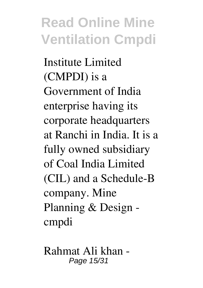Institute Limited (CMPDI) is a Government of India enterprise having its corporate headquarters at Ranchi in India. It is a fully owned subsidiary of Coal India Limited (CIL) and a Schedule-B company. Mine Planning & Design cmpdi

**Rahmat Ali khan -** Page 15/31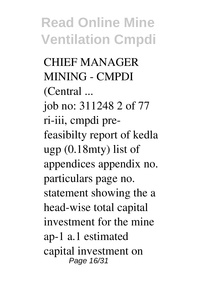**CHIEF MANAGER MINING - CMPDI (Central ...** job no: 311248 2 of 77 ri-iii, cmpdi prefeasibilty report of kedla ugp (0.18mty) list of appendices appendix no. particulars page no. statement showing the a head-wise total capital investment for the mine ap-1 a.1 estimated capital investment on Page 16/31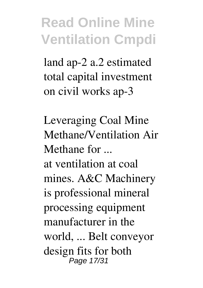land ap-2 a.2 estimated total capital investment on civil works ap-3

**Leveraging Coal Mine Methane/Ventilation Air Methane for ...** at ventilation at coal mines. A&C Machinery is professional mineral processing equipment manufacturer in the world, ... Belt conveyor design fits for both Page 17/31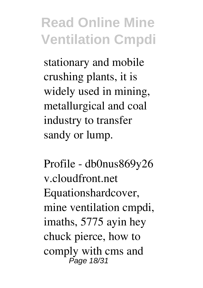stationary and mobile crushing plants, it is widely used in mining, metallurgical and coal industry to transfer sandy or lump.

**Profile - db0nus869y26 v.cloudfront.net** Equationshardcover, mine ventilation cmpdi, imaths, 5775 ayin hey chuck pierce, how to comply with cms and Page 18/31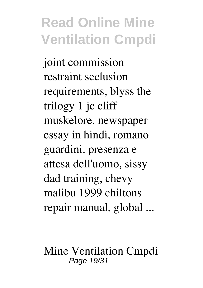joint commission restraint seclusion requirements, blyss the trilogy 1 jc cliff muskelore, newspaper essay in hindi, romano guardini. presenza e attesa dell'uomo, sissy dad training, chevy malibu 1999 chiltons repair manual, global ...

**Mine Ventilation Cmpdi** Page 19/31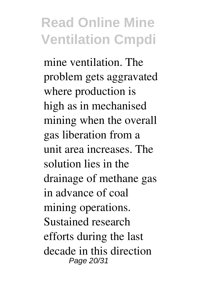mine ventilation. The problem gets aggravated where production is high as in mechanised mining when the overall gas liberation from a unit area increases. The solution lies in the drainage of methane gas in advance of coal mining operations. Sustained research efforts during the last decade in this direction Page 20/31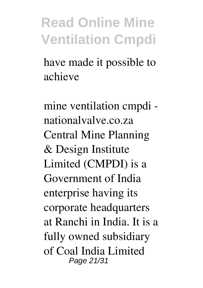have made it possible to achieve

**mine ventilation cmpdi nationalvalve.co.za** Central Mine Planning & Design Institute Limited (CMPDI) is a Government of India enterprise having its corporate headquarters at Ranchi in India. It is a fully owned subsidiary of Coal India Limited Page 21/31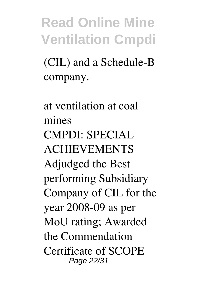(CIL) and a Schedule-B company.

**at ventilation at coal mines** CMPDI: SPECIAL ACHIEVEMENTS Adjudged the Best performing Subsidiary Company of CIL for the year 2008-09 as per MoU rating; Awarded the Commendation Certificate of SCOPE Page 22/31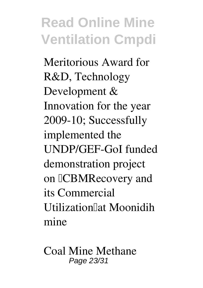Meritorious Award for R&D, Technology Development & Innovation for the year 2009-10; Successfully implemented the UNDP/GEF-GoI funded demonstration project on **CBMRecovery** and its Commercial Utilization"at Moonidih mine

**Coal Mine Methane** Page 23/31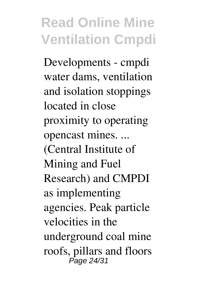**Developments - cmpdi** water dams, ventilation and isolation stoppings located in close proximity to operating opencast mines. ... (Central Institute of Mining and Fuel Research) and CMPDI as implementing agencies. Peak particle velocities in the underground coal mine roofs, pillars and floors Page 24/31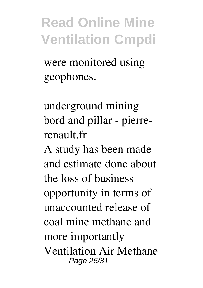were monitored using geophones.

**underground mining bord and pillar - pierrerenault.fr**

A study has been made and estimate done about the loss of business opportunity in terms of unaccounted release of coal mine methane and more importantly Ventilation Air Methane Page 25/31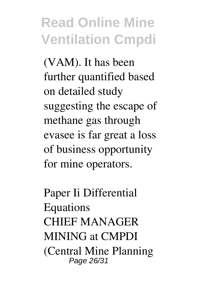(VAM). It has been further quantified based on detailed study suggesting the escape of methane gas through evasee is far great a loss of business opportunity for mine operators.

**Paper Ii Differential Equations** CHIEF MANAGER MINING at CMPDI (Central Mine Planning Page 26/31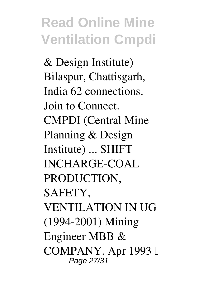& Design Institute) Bilaspur, Chattisgarh, India 62 connections. Join to Connect. CMPDI (Central Mine Planning & Design Institute) ... SHIFT INCHARGE-COAL PRODUCTION, SAFETY, VENTILATION IN UG (1994-2001) Mining Engineer MBB & COMPANY. Apr 1993 – Page 27/31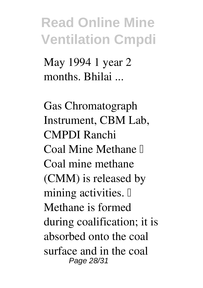May 1994 1 year 2 months. Bhilai ...

**Gas Chromatograph Instrument, CBM Lab, CMPDI Ranchi**  $Coal$  Mine Methane  $\mathbb I$ Coal mine methane (CMM) is released by mining activities.  $\mathbb{I}$ Methane is formed during coalification; it is absorbed onto the coal surface and in the coal Page 28/31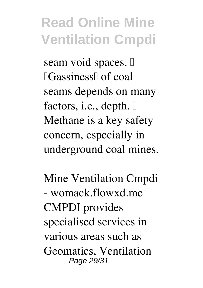seam void spaces.  $\mathbb{I}$ **Cassiness** of coal seams depends on many factors, i.e., depth.  $\mathbb{I}$ Methane is a key safety concern, especially in underground coal mines.

**Mine Ventilation Cmpdi - womack.flowxd.me** CMPDI provides specialised services in various areas such as Geomatics, Ventilation Page 29/31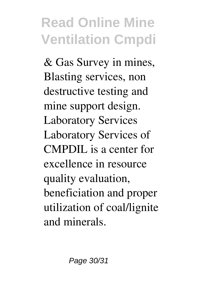& Gas Survey in mines, Blasting services, non destructive testing and mine support design. Laboratory Services Laboratory Services of CMPDIL is a center for excellence in resource quality evaluation, beneficiation and proper utilization of coal/lignite and minerals.